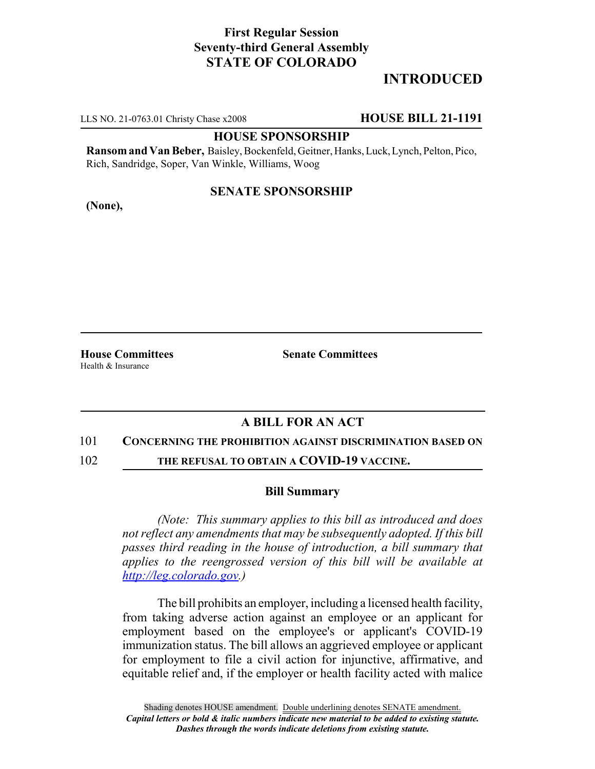# **First Regular Session Seventy-third General Assembly STATE OF COLORADO**

# **INTRODUCED**

LLS NO. 21-0763.01 Christy Chase x2008 **HOUSE BILL 21-1191**

## **HOUSE SPONSORSHIP**

**Ransom and Van Beber,** Baisley, Bockenfeld, Geitner, Hanks, Luck, Lynch, Pelton, Pico, Rich, Sandridge, Soper, Van Winkle, Williams, Woog

## **SENATE SPONSORSHIP**

**(None),**

Health & Insurance

**House Committees Senate Committees**

## **A BILL FOR AN ACT**

### 101 **CONCERNING THE PROHIBITION AGAINST DISCRIMINATION BASED ON**

102 **THE REFUSAL TO OBTAIN A COVID-19 VACCINE.**

## **Bill Summary**

*(Note: This summary applies to this bill as introduced and does not reflect any amendments that may be subsequently adopted. If this bill passes third reading in the house of introduction, a bill summary that applies to the reengrossed version of this bill will be available at http://leg.colorado.gov.)*

The bill prohibits an employer, including a licensed health facility, from taking adverse action against an employee or an applicant for employment based on the employee's or applicant's COVID-19 immunization status. The bill allows an aggrieved employee or applicant for employment to file a civil action for injunctive, affirmative, and equitable relief and, if the employer or health facility acted with malice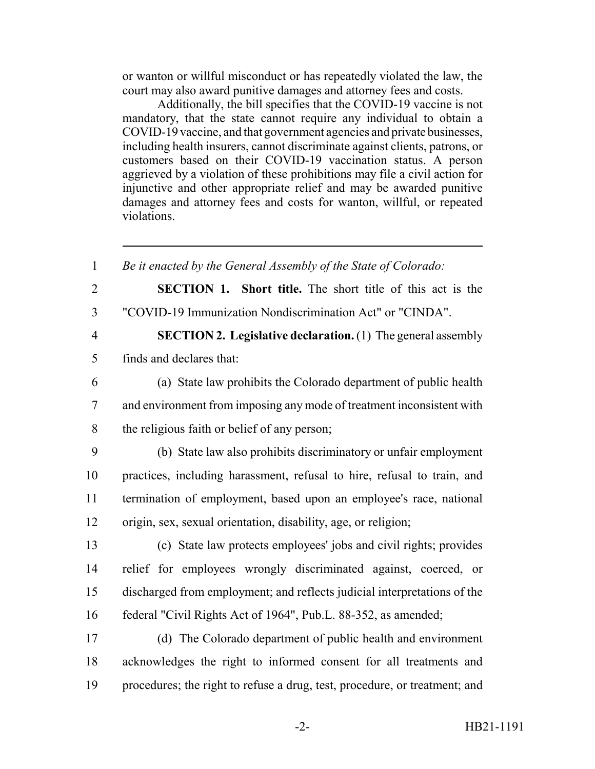or wanton or willful misconduct or has repeatedly violated the law, the court may also award punitive damages and attorney fees and costs.

Additionally, the bill specifies that the COVID-19 vaccine is not mandatory, that the state cannot require any individual to obtain a COVID-19 vaccine, and that government agencies and private businesses, including health insurers, cannot discriminate against clients, patrons, or customers based on their COVID-19 vaccination status. A person aggrieved by a violation of these prohibitions may file a civil action for injunctive and other appropriate relief and may be awarded punitive damages and attorney fees and costs for wanton, willful, or repeated violations.

 *Be it enacted by the General Assembly of the State of Colorado:* **SECTION 1. Short title.** The short title of this act is the "COVID-19 Immunization Nondiscrimination Act" or "CINDA". **SECTION 2. Legislative declaration.** (1) The general assembly finds and declares that: (a) State law prohibits the Colorado department of public health and environment from imposing any mode of treatment inconsistent with the religious faith or belief of any person; (b) State law also prohibits discriminatory or unfair employment practices, including harassment, refusal to hire, refusal to train, and termination of employment, based upon an employee's race, national origin, sex, sexual orientation, disability, age, or religion; (c) State law protects employees' jobs and civil rights; provides relief for employees wrongly discriminated against, coerced, or discharged from employment; and reflects judicial interpretations of the federal "Civil Rights Act of 1964", Pub.L. 88-352, as amended; (d) The Colorado department of public health and environment acknowledges the right to informed consent for all treatments and procedures; the right to refuse a drug, test, procedure, or treatment; and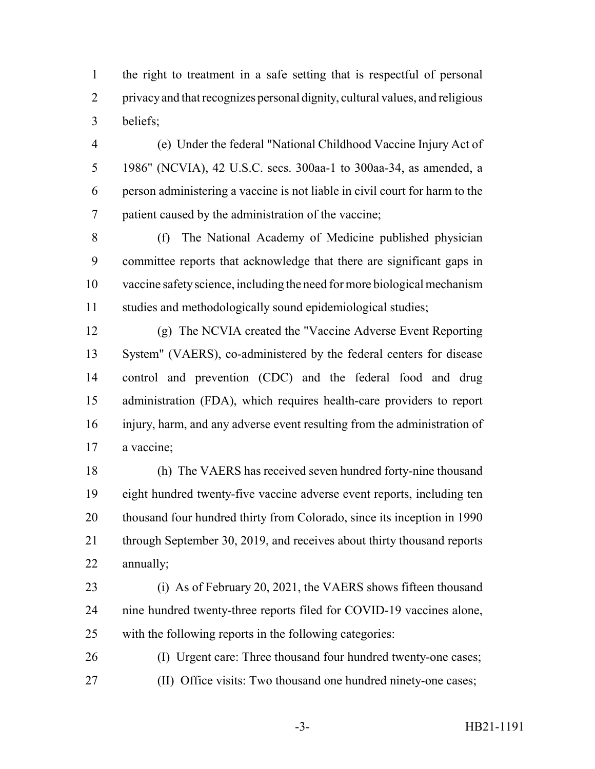the right to treatment in a safe setting that is respectful of personal privacy and that recognizes personal dignity, cultural values, and religious beliefs;

 (e) Under the federal "National Childhood Vaccine Injury Act of 1986" (NCVIA), 42 U.S.C. secs. 300aa-1 to 300aa-34, as amended, a person administering a vaccine is not liable in civil court for harm to the patient caused by the administration of the vaccine;

 (f) The National Academy of Medicine published physician committee reports that acknowledge that there are significant gaps in vaccine safety science, including the need for more biological mechanism studies and methodologically sound epidemiological studies;

 (g) The NCVIA created the "Vaccine Adverse Event Reporting System" (VAERS), co-administered by the federal centers for disease control and prevention (CDC) and the federal food and drug administration (FDA), which requires health-care providers to report injury, harm, and any adverse event resulting from the administration of a vaccine;

 (h) The VAERS has received seven hundred forty-nine thousand eight hundred twenty-five vaccine adverse event reports, including ten 20 thousand four hundred thirty from Colorado, since its inception in 1990 21 through September 30, 2019, and receives about thirty thousand reports annually;

 (i) As of February 20, 2021, the VAERS shows fifteen thousand nine hundred twenty-three reports filed for COVID-19 vaccines alone, with the following reports in the following categories:

 (I) Urgent care: Three thousand four hundred twenty-one cases; (II) Office visits: Two thousand one hundred ninety-one cases;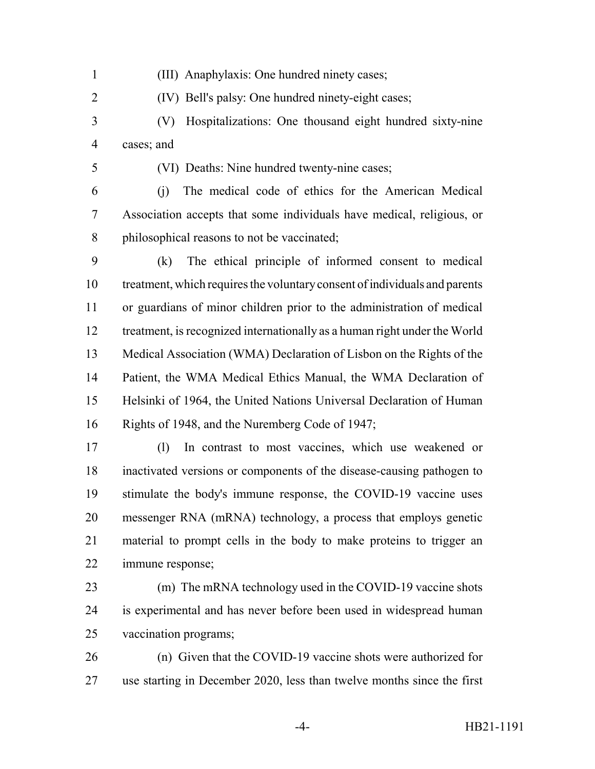- (III) Anaphylaxis: One hundred ninety cases;
- (IV) Bell's palsy: One hundred ninety-eight cases;
- (V) Hospitalizations: One thousand eight hundred sixty-nine cases; and
- 

(VI) Deaths: Nine hundred twenty-nine cases;

 (j) The medical code of ethics for the American Medical Association accepts that some individuals have medical, religious, or 8 philosophical reasons to not be vaccinated;

 (k) The ethical principle of informed consent to medical treatment, which requires the voluntary consent of individuals and parents or guardians of minor children prior to the administration of medical treatment, is recognized internationally as a human right under the World Medical Association (WMA) Declaration of Lisbon on the Rights of the Patient, the WMA Medical Ethics Manual, the WMA Declaration of Helsinki of 1964, the United Nations Universal Declaration of Human Rights of 1948, and the Nuremberg Code of 1947;

 (l) In contrast to most vaccines, which use weakened or inactivated versions or components of the disease-causing pathogen to stimulate the body's immune response, the COVID-19 vaccine uses messenger RNA (mRNA) technology, a process that employs genetic material to prompt cells in the body to make proteins to trigger an immune response;

- (m) The mRNA technology used in the COVID-19 vaccine shots is experimental and has never before been used in widespread human vaccination programs;
- (n) Given that the COVID-19 vaccine shots were authorized for use starting in December 2020, less than twelve months since the first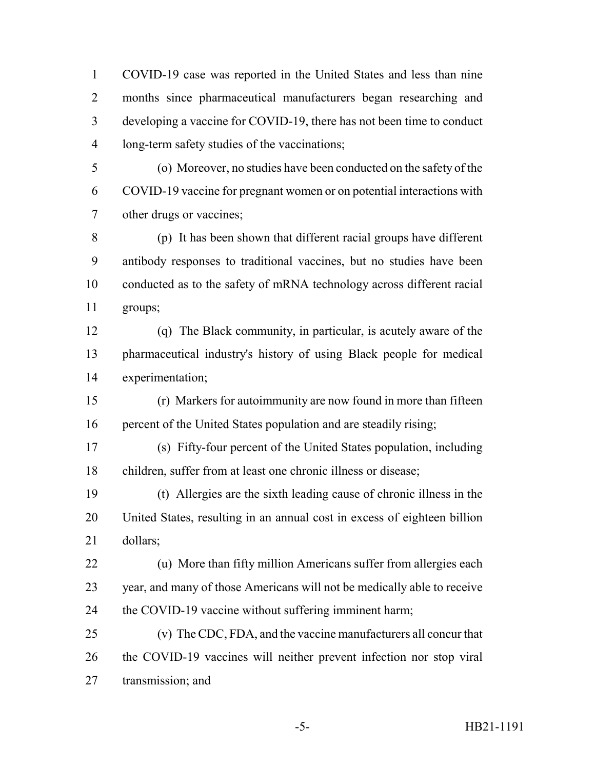COVID-19 case was reported in the United States and less than nine months since pharmaceutical manufacturers began researching and developing a vaccine for COVID-19, there has not been time to conduct long-term safety studies of the vaccinations;

 (o) Moreover, no studies have been conducted on the safety of the COVID-19 vaccine for pregnant women or on potential interactions with other drugs or vaccines;

 (p) It has been shown that different racial groups have different antibody responses to traditional vaccines, but no studies have been conducted as to the safety of mRNA technology across different racial groups;

 (q) The Black community, in particular, is acutely aware of the pharmaceutical industry's history of using Black people for medical experimentation;

 (r) Markers for autoimmunity are now found in more than fifteen 16 percent of the United States population and are steadily rising;

 (s) Fifty-four percent of the United States population, including children, suffer from at least one chronic illness or disease;

 (t) Allergies are the sixth leading cause of chronic illness in the United States, resulting in an annual cost in excess of eighteen billion dollars;

 (u) More than fifty million Americans suffer from allergies each year, and many of those Americans will not be medically able to receive 24 the COVID-19 vaccine without suffering imminent harm;

 (v) The CDC, FDA, and the vaccine manufacturers all concur that the COVID-19 vaccines will neither prevent infection nor stop viral transmission; and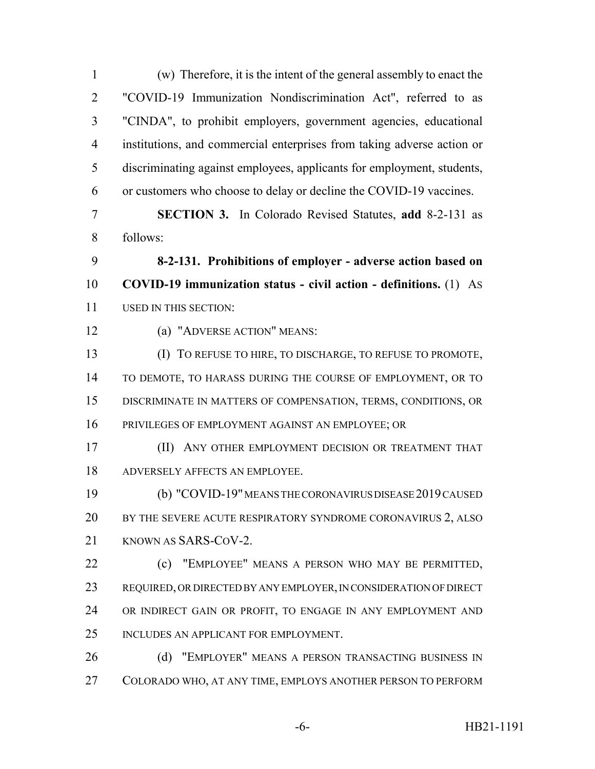(w) Therefore, it is the intent of the general assembly to enact the "COVID-19 Immunization Nondiscrimination Act", referred to as "CINDA", to prohibit employers, government agencies, educational institutions, and commercial enterprises from taking adverse action or discriminating against employees, applicants for employment, students, or customers who choose to delay or decline the COVID-19 vaccines. **SECTION 3.** In Colorado Revised Statutes, **add** 8-2-131 as follows: **8-2-131. Prohibitions of employer - adverse action based on COVID-19 immunization status - civil action - definitions.** (1) AS USED IN THIS SECTION: (a) "ADVERSE ACTION" MEANS: (I) TO REFUSE TO HIRE, TO DISCHARGE, TO REFUSE TO PROMOTE, TO DEMOTE, TO HARASS DURING THE COURSE OF EMPLOYMENT, OR TO DISCRIMINATE IN MATTERS OF COMPENSATION, TERMS, CONDITIONS, OR PRIVILEGES OF EMPLOYMENT AGAINST AN EMPLOYEE; OR (II) ANY OTHER EMPLOYMENT DECISION OR TREATMENT THAT ADVERSELY AFFECTS AN EMPLOYEE. (b) "COVID-19" MEANS THE CORONAVIRUS DISEASE 2019 CAUSED 20 BY THE SEVERE ACUTE RESPIRATORY SYNDROME CORONAVIRUS 2, ALSO 21 KNOWN AS SARS-COV-2. (c) "EMPLOYEE" MEANS A PERSON WHO MAY BE PERMITTED, REQUIRED, OR DIRECTED BY ANY EMPLOYER, IN CONSIDERATION OF DIRECT OR INDIRECT GAIN OR PROFIT, TO ENGAGE IN ANY EMPLOYMENT AND INCLUDES AN APPLICANT FOR EMPLOYMENT. 26 (d) "EMPLOYER" MEANS A PERSON TRANSACTING BUSINESS IN COLORADO WHO, AT ANY TIME, EMPLOYS ANOTHER PERSON TO PERFORM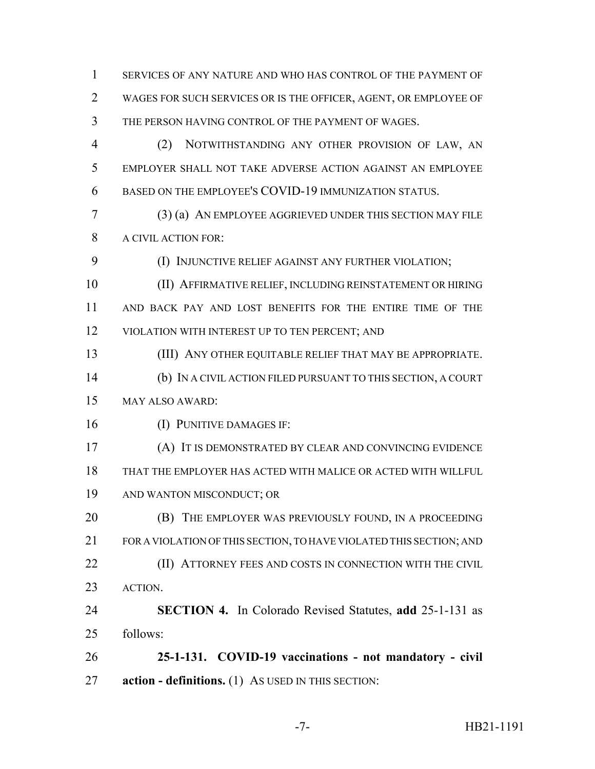SERVICES OF ANY NATURE AND WHO HAS CONTROL OF THE PAYMENT OF WAGES FOR SUCH SERVICES OR IS THE OFFICER, AGENT, OR EMPLOYEE OF THE PERSON HAVING CONTROL OF THE PAYMENT OF WAGES. (2) NOTWITHSTANDING ANY OTHER PROVISION OF LAW, AN EMPLOYER SHALL NOT TAKE ADVERSE ACTION AGAINST AN EMPLOYEE BASED ON THE EMPLOYEE'S COVID-19 IMMUNIZATION STATUS.

 (3) (a) AN EMPLOYEE AGGRIEVED UNDER THIS SECTION MAY FILE A CIVIL ACTION FOR:

**(I) INJUNCTIVE RELIEF AGAINST ANY FURTHER VIOLATION;** 

 (II) AFFIRMATIVE RELIEF, INCLUDING REINSTATEMENT OR HIRING AND BACK PAY AND LOST BENEFITS FOR THE ENTIRE TIME OF THE VIOLATION WITH INTEREST UP TO TEN PERCENT; AND

(III) ANY OTHER EQUITABLE RELIEF THAT MAY BE APPROPRIATE.

 (b) IN A CIVIL ACTION FILED PURSUANT TO THIS SECTION, A COURT MAY ALSO AWARD:

(I) PUNITIVE DAMAGES IF:

 (A) IT IS DEMONSTRATED BY CLEAR AND CONVINCING EVIDENCE THAT THE EMPLOYER HAS ACTED WITH MALICE OR ACTED WITH WILLFUL AND WANTON MISCONDUCT; OR

**(B)** THE EMPLOYER WAS PREVIOUSLY FOUND, IN A PROCEEDING FOR A VIOLATION OF THIS SECTION, TO HAVE VIOLATED THIS SECTION; AND **(II) ATTORNEY FEES AND COSTS IN CONNECTION WITH THE CIVIL** ACTION.

 **SECTION 4.** In Colorado Revised Statutes, **add** 25-1-131 as follows:

 **25-1-131. COVID-19 vaccinations - not mandatory - civil action - definitions.** (1) AS USED IN THIS SECTION: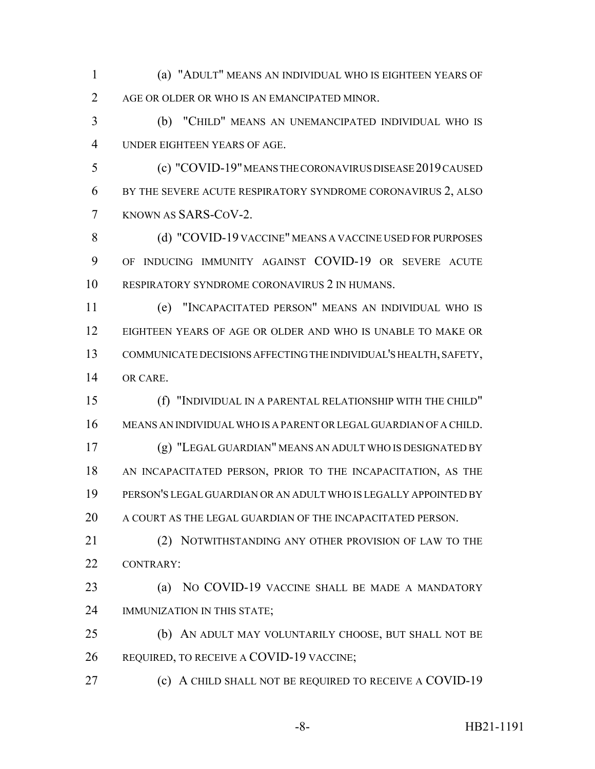(a) "ADULT" MEANS AN INDIVIDUAL WHO IS EIGHTEEN YEARS OF AGE OR OLDER OR WHO IS AN EMANCIPATED MINOR.

 (b) "CHILD" MEANS AN UNEMANCIPATED INDIVIDUAL WHO IS UNDER EIGHTEEN YEARS OF AGE.

 (c) "COVID-19" MEANS THE CORONAVIRUS DISEASE 2019 CAUSED BY THE SEVERE ACUTE RESPIRATORY SYNDROME CORONAVIRUS 2, ALSO KNOWN AS SARS-COV-2.

8 (d) "COVID-19 VACCINE" MEANS A VACCINE USED FOR PURPOSES OF INDUCING IMMUNITY AGAINST COVID-19 OR SEVERE ACUTE RESPIRATORY SYNDROME CORONAVIRUS 2 IN HUMANS.

 (e) "INCAPACITATED PERSON" MEANS AN INDIVIDUAL WHO IS EIGHTEEN YEARS OF AGE OR OLDER AND WHO IS UNABLE TO MAKE OR COMMUNICATE DECISIONS AFFECTING THE INDIVIDUAL'S HEALTH, SAFETY, OR CARE.

 (f) "INDIVIDUAL IN A PARENTAL RELATIONSHIP WITH THE CHILD" MEANS AN INDIVIDUAL WHO IS A PARENT OR LEGAL GUARDIAN OF A CHILD. (g) "LEGAL GUARDIAN" MEANS AN ADULT WHO IS DESIGNATED BY AN INCAPACITATED PERSON, PRIOR TO THE INCAPACITATION, AS THE PERSON'S LEGAL GUARDIAN OR AN ADULT WHO IS LEGALLY APPOINTED BY A COURT AS THE LEGAL GUARDIAN OF THE INCAPACITATED PERSON.

21 (2) NOTWITHSTANDING ANY OTHER PROVISION OF LAW TO THE CONTRARY:

 (a) NO COVID-19 VACCINE SHALL BE MADE A MANDATORY IMMUNIZATION IN THIS STATE;

 (b) AN ADULT MAY VOLUNTARILY CHOOSE, BUT SHALL NOT BE 26 REQUIRED, TO RECEIVE A COVID-19 VACCINE;

(c) A CHILD SHALL NOT BE REQUIRED TO RECEIVE A COVID-19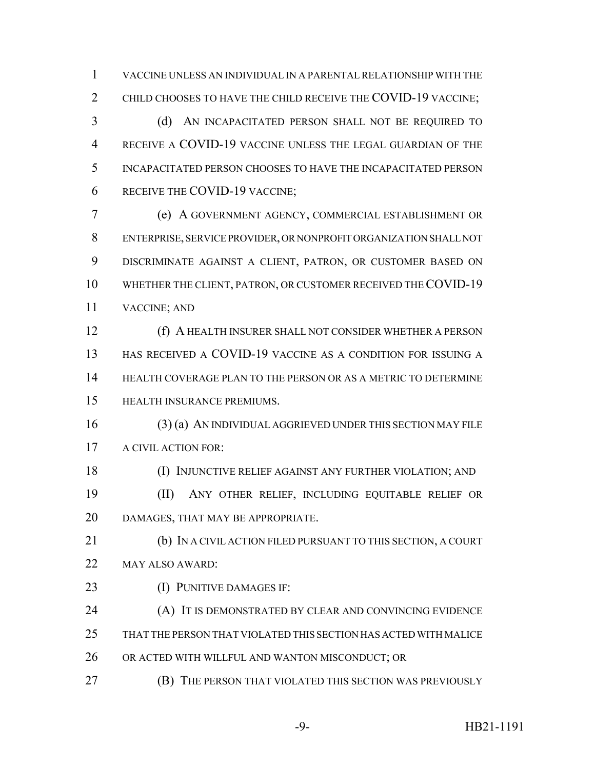VACCINE UNLESS AN INDIVIDUAL IN A PARENTAL RELATIONSHIP WITH THE 2 CHILD CHOOSES TO HAVE THE CHILD RECEIVE THE COVID-19 VACCINE:

 (d) AN INCAPACITATED PERSON SHALL NOT BE REQUIRED TO RECEIVE A COVID-19 VACCINE UNLESS THE LEGAL GUARDIAN OF THE INCAPACITATED PERSON CHOOSES TO HAVE THE INCAPACITATED PERSON RECEIVE THE COVID-19 VACCINE;

 (e) A GOVERNMENT AGENCY, COMMERCIAL ESTABLISHMENT OR ENTERPRISE, SERVICE PROVIDER, OR NONPROFIT ORGANIZATION SHALL NOT DISCRIMINATE AGAINST A CLIENT, PATRON, OR CUSTOMER BASED ON WHETHER THE CLIENT, PATRON, OR CUSTOMER RECEIVED THE COVID-19 VACCINE; AND

 (f) A HEALTH INSURER SHALL NOT CONSIDER WHETHER A PERSON HAS RECEIVED A COVID-19 VACCINE AS A CONDITION FOR ISSUING A HEALTH COVERAGE PLAN TO THE PERSON OR AS A METRIC TO DETERMINE HEALTH INSURANCE PREMIUMS.

 (3) (a) AN INDIVIDUAL AGGRIEVED UNDER THIS SECTION MAY FILE 17 A CIVIL ACTION FOR:

 (I) INJUNCTIVE RELIEF AGAINST ANY FURTHER VIOLATION; AND (II) ANY OTHER RELIEF, INCLUDING EQUITABLE RELIEF OR DAMAGES, THAT MAY BE APPROPRIATE.

 (b) IN A CIVIL ACTION FILED PURSUANT TO THIS SECTION, A COURT MAY ALSO AWARD:

- (I) PUNITIVE DAMAGES IF:
- (A) IT IS DEMONSTRATED BY CLEAR AND CONVINCING EVIDENCE
- THAT THE PERSON THAT VIOLATED THIS SECTION HAS ACTED WITH MALICE
- OR ACTED WITH WILLFUL AND WANTON MISCONDUCT; OR
- (B) THE PERSON THAT VIOLATED THIS SECTION WAS PREVIOUSLY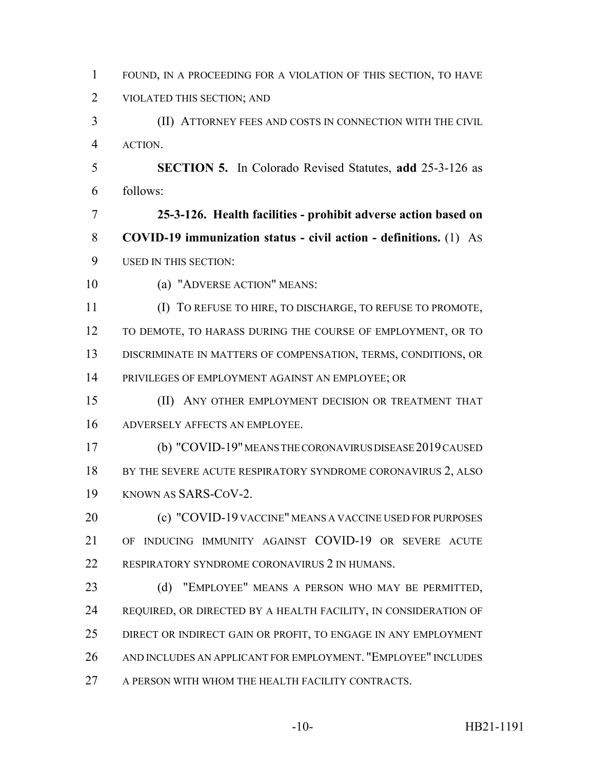| $\mathbf{1}$   | FOUND, IN A PROCEEDING FOR A VIOLATION OF THIS SECTION, TO HAVE   |
|----------------|-------------------------------------------------------------------|
| $\overline{2}$ | VIOLATED THIS SECTION; AND                                        |
| 3              | (II) ATTORNEY FEES AND COSTS IN CONNECTION WITH THE CIVIL         |
| $\overline{4}$ | ACTION.                                                           |
| 5              | <b>SECTION 5.</b> In Colorado Revised Statutes, add 25-3-126 as   |
| 6              | follows:                                                          |
| 7              | 25-3-126. Health facilities - prohibit adverse action based on    |
| 8              | COVID-19 immunization status - civil action - definitions. (1) As |
| 9              | <b>USED IN THIS SECTION:</b>                                      |
| 10             | (a) "ADVERSE ACTION" MEANS:                                       |
| 11             | (I) TO REFUSE TO HIRE, TO DISCHARGE, TO REFUSE TO PROMOTE,        |
| 12             | TO DEMOTE, TO HARASS DURING THE COURSE OF EMPLOYMENT, OR TO       |
| 13             | DISCRIMINATE IN MATTERS OF COMPENSATION, TERMS, CONDITIONS, OR    |
| 14             | PRIVILEGES OF EMPLOYMENT AGAINST AN EMPLOYEE; OR                  |
| 15             | (II)<br>ANY OTHER EMPLOYMENT DECISION OR TREATMENT THAT           |
| 16             | ADVERSELY AFFECTS AN EMPLOYEE.                                    |
| 17             | (b) "COVID-19" MEANS THE CORONAVIRUS DISEASE 2019 CAUSED          |
| 18             | BY THE SEVERE ACUTE RESPIRATORY SYNDROME CORONAVIRUS 2, ALSO      |
| 19             | KNOWN AS SARS-COV-2.                                              |
| 20             | (c) "COVID-19 VACCINE" MEANS A VACCINE USED FOR PURPOSES          |
| 21             | OF INDUCING IMMUNITY AGAINST COVID-19 OR SEVERE ACUTE             |
| 22             | RESPIRATORY SYNDROME CORONAVIRUS 2 IN HUMANS.                     |
| 23             | "EMPLOYEE" MEANS A PERSON WHO MAY BE PERMITTED,<br>(d)            |
| 24             | REQUIRED, OR DIRECTED BY A HEALTH FACILITY, IN CONSIDERATION OF   |
| 25             | DIRECT OR INDIRECT GAIN OR PROFIT, TO ENGAGE IN ANY EMPLOYMENT    |
| 26             | AND INCLUDES AN APPLICANT FOR EMPLOYMENT. "EMPLOYEE" INCLUDES     |
| 27             | A PERSON WITH WHOM THE HEALTH FACILITY CONTRACTS.                 |
|                |                                                                   |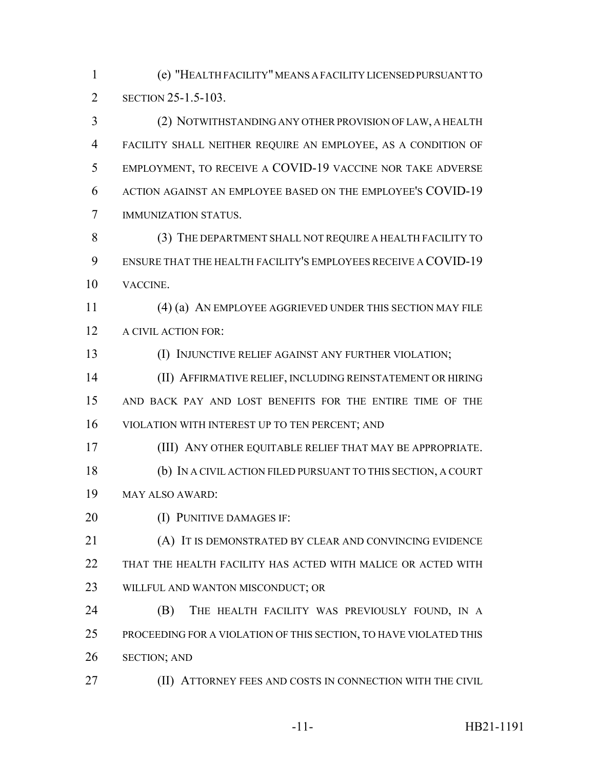(e) "HEALTH FACILITY" MEANS A FACILITY LICENSED PURSUANT TO **SECTION 25-1.5-103.** 

 (2) NOTWITHSTANDING ANY OTHER PROVISION OF LAW, A HEALTH FACILITY SHALL NEITHER REQUIRE AN EMPLOYEE, AS A CONDITION OF EMPLOYMENT, TO RECEIVE A COVID-19 VACCINE NOR TAKE ADVERSE ACTION AGAINST AN EMPLOYEE BASED ON THE EMPLOYEE'S COVID-19 IMMUNIZATION STATUS.

 (3) THE DEPARTMENT SHALL NOT REQUIRE A HEALTH FACILITY TO ENSURE THAT THE HEALTH FACILITY'S EMPLOYEES RECEIVE A COVID-19 VACCINE.

 (4) (a) AN EMPLOYEE AGGRIEVED UNDER THIS SECTION MAY FILE 12 A CIVIL ACTION FOR:

(I) INJUNCTIVE RELIEF AGAINST ANY FURTHER VIOLATION;

 (II) AFFIRMATIVE RELIEF, INCLUDING REINSTATEMENT OR HIRING AND BACK PAY AND LOST BENEFITS FOR THE ENTIRE TIME OF THE VIOLATION WITH INTEREST UP TO TEN PERCENT; AND

 (III) ANY OTHER EQUITABLE RELIEF THAT MAY BE APPROPRIATE. (b) IN A CIVIL ACTION FILED PURSUANT TO THIS SECTION, A COURT MAY ALSO AWARD:

**(I) PUNITIVE DAMAGES IF:** 

 (A) IT IS DEMONSTRATED BY CLEAR AND CONVINCING EVIDENCE THAT THE HEALTH FACILITY HAS ACTED WITH MALICE OR ACTED WITH WILLFUL AND WANTON MISCONDUCT; OR

 (B) THE HEALTH FACILITY WAS PREVIOUSLY FOUND, IN A PROCEEDING FOR A VIOLATION OF THIS SECTION, TO HAVE VIOLATED THIS SECTION; AND

**(II) ATTORNEY FEES AND COSTS IN CONNECTION WITH THE CIVIL**